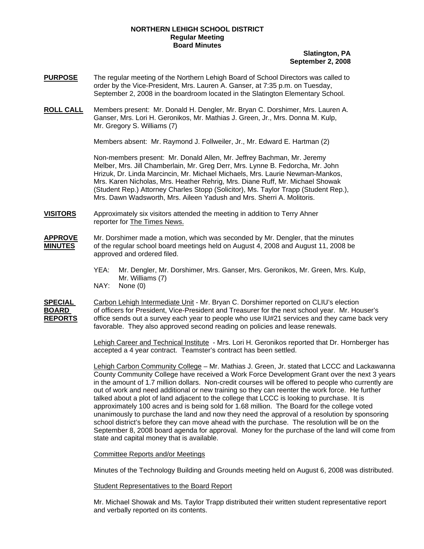## **NORTHERN LEHIGH SCHOOL DISTRICT Regular Meeting Board Minutes**

## **Slatington, PA September 2, 2008**

- **PURPOSE** The regular meeting of the Northern Lehigh Board of School Directors was called to order by the Vice-President, Mrs. Lauren A. Ganser, at 7:35 p.m. on Tuesday, September 2, 2008 in the boardroom located in the Slatington Elementary School.
- **ROLL CALL** Members present: Mr. Donald H. Dengler, Mr. Bryan C. Dorshimer, Mrs. Lauren A. Ganser, Mrs. Lori H. Geronikos, Mr. Mathias J. Green, Jr., Mrs. Donna M. Kulp, Mr. Gregory S. Williams (7)

Members absent: Mr. Raymond J. Follweiler, Jr., Mr. Edward E. Hartman (2)

Non-members present: Mr. Donald Allen, Mr. Jeffrey Bachman, Mr. Jeremy Melber, Mrs. Jill Chamberlain, Mr. Greg Derr, Mrs. Lynne B. Fedorcha, Mr. John Hrizuk, Dr. Linda Marcincin, Mr. Michael Michaels, Mrs. Laurie Newman-Mankos, Mrs. Karen Nicholas, Mrs. Heather Rehrig, Mrs. Diane Ruff, Mr. Michael Showak (Student Rep.) Attorney Charles Stopp (Solicitor), Ms. Taylor Trapp (Student Rep.), Mrs. Dawn Wadsworth, Mrs. Aileen Yadush and Mrs. Sherri A. Molitoris.

- **VISITORS** Approximately six visitors attended the meeting in addition to Terry Ahner reporter for The Times News.
- **APPROVE** Mr. Dorshimer made a motion, which was seconded by Mr. Dengler, that the minutes **MINUTES** of the regular school board meetings held on August 4, 2008 and August 11, 2008 be approved and ordered filed.
	- YEA: Mr. Dengler, Mr. Dorshimer, Mrs. Ganser, Mrs. Geronikos, Mr. Green, Mrs. Kulp, Mr. Williams (7)
	- NAY: None (0)

**SPECIAL** Carbon Lehigh Intermediate Unit - Mr. Bryan C. Dorshimer reported on CLIU's election **BOARD** of officers for President, Vice-President and Treasurer for the next school year. Mr. Houser's **REPORTS** office sends out a survey each year to people who use IU#21 services and they came back very favorable. They also approved second reading on policies and lease renewals.

> Lehigh Career and Technical Institute - Mrs. Lori H. Geronikos reported that Dr. Hornberger has accepted a 4 year contract. Teamster's contract has been settled.

Lehigh Carbon Community College – Mr. Mathias J. Green, Jr. stated that LCCC and Lackawanna County Community College have received a Work Force Development Grant over the next 3 years in the amount of 1.7 million dollars. Non-credit courses will be offered to people who currently are out of work and need additional or new training so they can reenter the work force. He further talked about a plot of land adjacent to the college that LCCC is looking to purchase. It is approximately 100 acres and is being sold for 1.68 million. The Board for the college voted unanimously to purchase the land and now they need the approval of a resolution by sponsoring school district's before they can move ahead with the purchase. The resolution will be on the September 8, 2008 board agenda for approval. Money for the purchase of the land will come from state and capital money that is available.

## Committee Reports and/or Meetings

Minutes of the Technology Building and Grounds meeting held on August 6, 2008 was distributed.

Student Representatives to the Board Report

Mr. Michael Showak and Ms. Taylor Trapp distributed their written student representative report and verbally reported on its contents.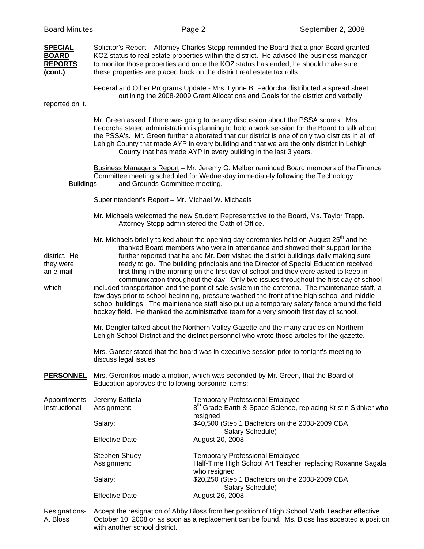| <b>Board Minutes</b>                                        |                                                   | Page 2                                                                                                                                                                                                                                                                                                                                                                                                                                                                                                                                                                                                                                                                                                                                                                                                                                                                                                                                    | September 2, 2008                                                          |
|-------------------------------------------------------------|---------------------------------------------------|-------------------------------------------------------------------------------------------------------------------------------------------------------------------------------------------------------------------------------------------------------------------------------------------------------------------------------------------------------------------------------------------------------------------------------------------------------------------------------------------------------------------------------------------------------------------------------------------------------------------------------------------------------------------------------------------------------------------------------------------------------------------------------------------------------------------------------------------------------------------------------------------------------------------------------------------|----------------------------------------------------------------------------|
| <b>SPECIAL</b><br><b>BOARD</b><br><b>REPORTS</b><br>(cont.) |                                                   | Solicitor's Report - Attorney Charles Stopp reminded the Board that a prior Board granted<br>KOZ status to real estate properties within the district. He advised the business manager<br>to monitor those properties and once the KOZ status has ended, he should make sure<br>these properties are placed back on the district real estate tax rolls.                                                                                                                                                                                                                                                                                                                                                                                                                                                                                                                                                                                   |                                                                            |
| reported on it.                                             |                                                   | Federal and Other Programs Update - Mrs. Lynne B. Fedorcha distributed a spread sheet<br>outlining the 2008-2009 Grant Allocations and Goals for the district and verbally                                                                                                                                                                                                                                                                                                                                                                                                                                                                                                                                                                                                                                                                                                                                                                |                                                                            |
|                                                             |                                                   | Mr. Green asked if there was going to be any discussion about the PSSA scores. Mrs.<br>Fedorcha stated administration is planning to hold a work session for the Board to talk about<br>the PSSA's. Mr. Green further elaborated that our district is one of only two districts in all of<br>Lehigh County that made AYP in every building and that we are the only district in Lehigh<br>County that has made AYP in every building in the last 3 years.                                                                                                                                                                                                                                                                                                                                                                                                                                                                                 |                                                                            |
| <b>Buildings</b>                                            | and Grounds Committee meeting.                    | Business Manager's Report - Mr. Jeremy G. Melber reminded Board members of the Finance<br>Committee meeting scheduled for Wednesday immediately following the Technology                                                                                                                                                                                                                                                                                                                                                                                                                                                                                                                                                                                                                                                                                                                                                                  |                                                                            |
|                                                             | Superintendent's Report - Mr. Michael W. Michaels |                                                                                                                                                                                                                                                                                                                                                                                                                                                                                                                                                                                                                                                                                                                                                                                                                                                                                                                                           |                                                                            |
|                                                             |                                                   | Mr. Michaels welcomed the new Student Representative to the Board, Ms. Taylor Trapp.<br>Attorney Stopp administered the Oath of Office.                                                                                                                                                                                                                                                                                                                                                                                                                                                                                                                                                                                                                                                                                                                                                                                                   |                                                                            |
| district. He<br>they were<br>an e-mail<br>which             |                                                   | Mr. Michaels briefly talked about the opening day ceremonies held on August $25th$ and he<br>thanked Board members who were in attendance and showed their support for the<br>further reported that he and Mr. Derr visited the district buildings daily making sure<br>ready to go. The building principals and the Director of Special Education received<br>first thing in the morning on the first day of school and they were asked to keep in<br>communication throughout the day. Only two issues throughout the first day of school<br>included transportation and the point of sale system in the cafeteria. The maintenance staff, a<br>few days prior to school beginning, pressure washed the front of the high school and middle<br>school buildings. The maintenance staff also put up a temporary safety fence around the field<br>hockey field. He thanked the administrative team for a very smooth first day of school. |                                                                            |
|                                                             |                                                   | Mr. Dengler talked about the Northern Valley Gazette and the many articles on Northern<br>Lehigh School District and the district personnel who wrote those articles for the gazette.                                                                                                                                                                                                                                                                                                                                                                                                                                                                                                                                                                                                                                                                                                                                                     |                                                                            |
|                                                             | discuss legal issues.                             | Mrs. Ganser stated that the board was in executive session prior to tonight's meeting to                                                                                                                                                                                                                                                                                                                                                                                                                                                                                                                                                                                                                                                                                                                                                                                                                                                  |                                                                            |
| <b>PERSONNEL</b>                                            | Education approves the following personnel items: | Mrs. Geronikos made a motion, which was seconded by Mr. Green, that the Board of                                                                                                                                                                                                                                                                                                                                                                                                                                                                                                                                                                                                                                                                                                                                                                                                                                                          |                                                                            |
| Appointments<br>Instructional                               | Jeremy Battista<br>Assignment:                    | <b>Temporary Professional Employee</b><br>resigned                                                                                                                                                                                                                                                                                                                                                                                                                                                                                                                                                                                                                                                                                                                                                                                                                                                                                        | 8 <sup>th</sup> Grade Earth & Space Science, replacing Kristin Skinker who |
|                                                             | Salary:                                           | \$40,500 (Step 1 Bachelors on the 2008-2009 CBA                                                                                                                                                                                                                                                                                                                                                                                                                                                                                                                                                                                                                                                                                                                                                                                                                                                                                           |                                                                            |
|                                                             | <b>Effective Date</b>                             | Salary Schedule)<br>August 20, 2008                                                                                                                                                                                                                                                                                                                                                                                                                                                                                                                                                                                                                                                                                                                                                                                                                                                                                                       |                                                                            |
|                                                             | Stephen Shuey<br>Assignment:                      | <b>Temporary Professional Employee</b><br>who resigned                                                                                                                                                                                                                                                                                                                                                                                                                                                                                                                                                                                                                                                                                                                                                                                                                                                                                    | Half-Time High School Art Teacher, replacing Roxanne Sagala                |
|                                                             | Salary:                                           | \$20,250 (Step 1 Bachelors on the 2008-2009 CBA<br>Salary Schedule)                                                                                                                                                                                                                                                                                                                                                                                                                                                                                                                                                                                                                                                                                                                                                                                                                                                                       |                                                                            |
|                                                             | <b>Effective Date</b>                             | August 26, 2008                                                                                                                                                                                                                                                                                                                                                                                                                                                                                                                                                                                                                                                                                                                                                                                                                                                                                                                           |                                                                            |
| Resignations-                                               |                                                   | Accept the resignation of Abby Bloss from her position of High School Math Teacher effective                                                                                                                                                                                                                                                                                                                                                                                                                                                                                                                                                                                                                                                                                                                                                                                                                                              |                                                                            |

A. Bloss October 10, 2008 or as soon as a replacement can be found. Ms. Bloss has accepted a position with another school district.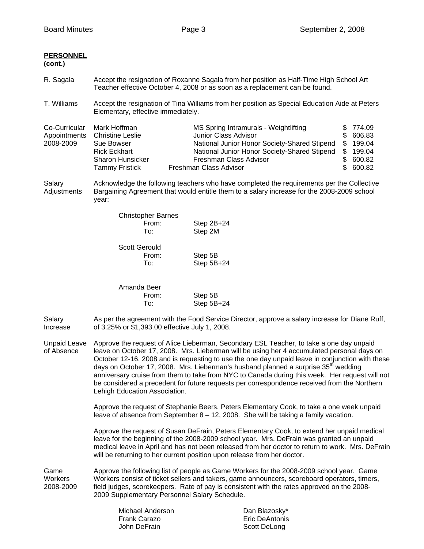| <b>PERSONNEL</b><br>(cont.)                |                                                                                                                                                                                                                                                                                                                                                                                                                                                                                                                                                                                                                              |                                                                                                                                                                                                                                                                                                                                                                       |                                                                              |
|--------------------------------------------|------------------------------------------------------------------------------------------------------------------------------------------------------------------------------------------------------------------------------------------------------------------------------------------------------------------------------------------------------------------------------------------------------------------------------------------------------------------------------------------------------------------------------------------------------------------------------------------------------------------------------|-----------------------------------------------------------------------------------------------------------------------------------------------------------------------------------------------------------------------------------------------------------------------------------------------------------------------------------------------------------------------|------------------------------------------------------------------------------|
| R. Sagala                                  | Accept the resignation of Roxanne Sagala from her position as Half-Time High School Art<br>Teacher effective October 4, 2008 or as soon as a replacement can be found.                                                                                                                                                                                                                                                                                                                                                                                                                                                       |                                                                                                                                                                                                                                                                                                                                                                       |                                                                              |
| T. Williams                                | Accept the resignation of Tina Williams from her position as Special Education Aide at Peters<br>Elementary, effective immediately.                                                                                                                                                                                                                                                                                                                                                                                                                                                                                          |                                                                                                                                                                                                                                                                                                                                                                       |                                                                              |
| Co-Curricular<br>Appointments<br>2008-2009 | Mark Hoffman<br><b>Christine Leslie</b><br>Sue Bowser<br><b>Rick Eckhart</b><br><b>Sharon Hunsicker</b><br><b>Tammy Fristick</b>                                                                                                                                                                                                                                                                                                                                                                                                                                                                                             | MS Spring Intramurals - Weightlifting<br>Junior Class Advisor<br>National Junior Honor Society-Shared Stipend<br>National Junior Honor Society-Shared Stipend<br>Freshman Class Advisor<br>Freshman Class Advisor                                                                                                                                                     | 774.09<br>\$<br>\$606.83<br>\$199.04<br>\$199.04<br>\$600.82<br>\$<br>600.82 |
| Salary<br>Adjustments                      | Acknowledge the following teachers who have completed the requirements per the Collective<br>Bargaining Agreement that would entitle them to a salary increase for the 2008-2009 school<br>year:                                                                                                                                                                                                                                                                                                                                                                                                                             |                                                                                                                                                                                                                                                                                                                                                                       |                                                                              |
|                                            | <b>Christopher Barnes</b><br>From:<br>To:                                                                                                                                                                                                                                                                                                                                                                                                                                                                                                                                                                                    | Step 2B+24<br>Step 2M                                                                                                                                                                                                                                                                                                                                                 |                                                                              |
|                                            | <b>Scott Gerould</b><br>From:<br>To:                                                                                                                                                                                                                                                                                                                                                                                                                                                                                                                                                                                         | Step 5B<br>Step 5B+24                                                                                                                                                                                                                                                                                                                                                 |                                                                              |
|                                            | Amanda Beer<br>From:<br>To:                                                                                                                                                                                                                                                                                                                                                                                                                                                                                                                                                                                                  | Step 5B<br>Step 5B+24                                                                                                                                                                                                                                                                                                                                                 |                                                                              |
| Salary<br>Increase                         | of 3.25% or \$1,393.00 effective July 1, 2008.                                                                                                                                                                                                                                                                                                                                                                                                                                                                                                                                                                               | As per the agreement with the Food Service Director, approve a salary increase for Diane Ruff,                                                                                                                                                                                                                                                                        |                                                                              |
| Unpaid Leave<br>of Absence                 | Approve the request of Alice Lieberman, Secondary ESL Teacher, to take a one day unpaid<br>leave on October 17, 2008. Mrs. Lieberman will be using her 4 accumulated personal days on<br>October 12-16, 2008 and is requesting to use the one day unpaid leave in conjunction with these<br>days on October 17, 2008. Mrs. Lieberman's husband planned a surprise 35 <sup>th</sup> wedding<br>anniversary cruise from them to take from NYC to Canada during this week. Her request will not<br>be considered a precedent for future requests per correspondence received from the Northern<br>Lehigh Education Association. |                                                                                                                                                                                                                                                                                                                                                                       |                                                                              |
|                                            |                                                                                                                                                                                                                                                                                                                                                                                                                                                                                                                                                                                                                              | Approve the request of Stephanie Beers, Peters Elementary Cook, to take a one week unpaid<br>leave of absence from September $8 - 12$ , 2008. She will be taking a family vacation.                                                                                                                                                                                   |                                                                              |
|                                            |                                                                                                                                                                                                                                                                                                                                                                                                                                                                                                                                                                                                                              | Approve the request of Susan DeFrain, Peters Elementary Cook, to extend her unpaid medical<br>leave for the beginning of the 2008-2009 school year. Mrs. DeFrain was granted an unpaid<br>medical leave in April and has not been released from her doctor to return to work. Mrs. DeFrain<br>will be returning to her current position upon release from her doctor. |                                                                              |
| Game<br>Workers<br>2008-2009               | 2009 Supplementary Personnel Salary Schedule.                                                                                                                                                                                                                                                                                                                                                                                                                                                                                                                                                                                | Approve the following list of people as Game Workers for the 2008-2009 school year. Game<br>Workers consist of ticket sellers and takers, game announcers, scoreboard operators, timers,<br>field judges, scorekeepers. Rate of pay is consistent with the rates approved on the 2008-                                                                                |                                                                              |
|                                            | $Mishcal$ $Andsson$                                                                                                                                                                                                                                                                                                                                                                                                                                                                                                                                                                                                          | Don Diozoolart                                                                                                                                                                                                                                                                                                                                                        |                                                                              |

| Michael Anderson    | Dan Blazosky          |
|---------------------|-----------------------|
| <b>Frank Carazo</b> | <b>Eric DeAntonis</b> |
| John DeFrain        | Scott DeLong          |

Eric DeAntonis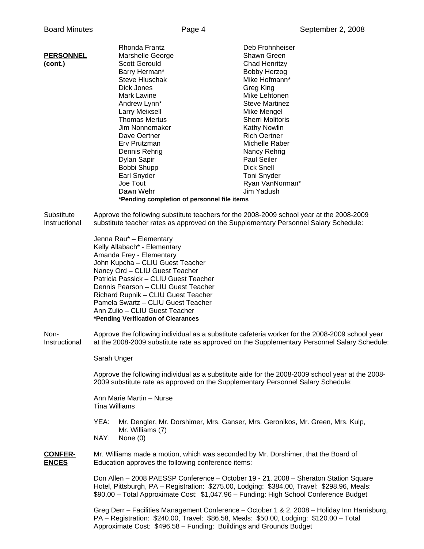|                                | Rhonda Frantz                                                                                                                                                                                                                                                                | Deb Frohnheiser                                                                                  |
|--------------------------------|------------------------------------------------------------------------------------------------------------------------------------------------------------------------------------------------------------------------------------------------------------------------------|--------------------------------------------------------------------------------------------------|
| <b>PERSONNEL</b>               | Marshelle George                                                                                                                                                                                                                                                             | Shawn Green                                                                                      |
| (cont.)                        | <b>Scott Gerould</b>                                                                                                                                                                                                                                                         | Chad Henritzy                                                                                    |
|                                | Barry Herman*                                                                                                                                                                                                                                                                | <b>Bobby Herzog</b>                                                                              |
|                                | <b>Steve Hluschak</b>                                                                                                                                                                                                                                                        | Mike Hofmann*                                                                                    |
|                                | Dick Jones                                                                                                                                                                                                                                                                   | Greg King                                                                                        |
|                                | Mark Lavine                                                                                                                                                                                                                                                                  | Mike Lehtonen                                                                                    |
|                                | Andrew Lynn*                                                                                                                                                                                                                                                                 | <b>Steve Martinez</b>                                                                            |
|                                | Larry Meixsell                                                                                                                                                                                                                                                               | Mike Mengel                                                                                      |
|                                | <b>Thomas Mertus</b>                                                                                                                                                                                                                                                         | <b>Sherri Molitoris</b>                                                                          |
|                                | Jim Nonnemaker                                                                                                                                                                                                                                                               | <b>Kathy Nowlin</b>                                                                              |
|                                | Dave Oertner                                                                                                                                                                                                                                                                 | <b>Rich Oertner</b>                                                                              |
|                                |                                                                                                                                                                                                                                                                              |                                                                                                  |
|                                | Erv Prutzman                                                                                                                                                                                                                                                                 | Michelle Raber                                                                                   |
|                                | Dennis Rehrig                                                                                                                                                                                                                                                                | Nancy Rehrig                                                                                     |
|                                | Dylan Sapir                                                                                                                                                                                                                                                                  | <b>Paul Seiler</b>                                                                               |
|                                | Bobbi Shupp                                                                                                                                                                                                                                                                  | <b>Dick Snell</b>                                                                                |
|                                | Earl Snyder                                                                                                                                                                                                                                                                  | Toni Snyder                                                                                      |
|                                | Joe Tout                                                                                                                                                                                                                                                                     | Ryan VanNorman*                                                                                  |
|                                | Dawn Wehr                                                                                                                                                                                                                                                                    | Jim Yadush                                                                                       |
|                                | *Pending completion of personnel file items                                                                                                                                                                                                                                  |                                                                                                  |
| Substitute                     | Approve the following substitute teachers for the 2008-2009 school year at the 2008-2009                                                                                                                                                                                     |                                                                                                  |
| Instructional                  | substitute teacher rates as approved on the Supplementary Personnel Salary Schedule:                                                                                                                                                                                         |                                                                                                  |
|                                | Jenna Rau* - Elementary                                                                                                                                                                                                                                                      |                                                                                                  |
|                                | Kelly Allabach* - Elementary                                                                                                                                                                                                                                                 |                                                                                                  |
|                                | Amanda Frey - Elementary                                                                                                                                                                                                                                                     |                                                                                                  |
|                                | John Kupcha - CLIU Guest Teacher                                                                                                                                                                                                                                             |                                                                                                  |
|                                | Nancy Ord - CLIU Guest Teacher                                                                                                                                                                                                                                               |                                                                                                  |
|                                | Patricia Passick - CLIU Guest Teacher                                                                                                                                                                                                                                        |                                                                                                  |
|                                | Dennis Pearson - CLIU Guest Teacher                                                                                                                                                                                                                                          |                                                                                                  |
|                                | Richard Rupnik - CLIU Guest Teacher                                                                                                                                                                                                                                          |                                                                                                  |
|                                | Pamela Swartz - CLIU Guest Teacher                                                                                                                                                                                                                                           |                                                                                                  |
|                                | Ann Zulio - CLIU Guest Teacher                                                                                                                                                                                                                                               |                                                                                                  |
|                                | *Pending Verification of Clearances                                                                                                                                                                                                                                          |                                                                                                  |
| Non-<br>Instructional          | Approve the following individual as a substitute cafeteria worker for the 2008-2009 school year                                                                                                                                                                              | at the 2008-2009 substitute rate as approved on the Supplementary Personnel Salary Schedule:     |
|                                | Sarah Unger                                                                                                                                                                                                                                                                  |                                                                                                  |
|                                | 2009 substitute rate as approved on the Supplementary Personnel Salary Schedule:                                                                                                                                                                                             | Approve the following individual as a substitute aide for the 2008-2009 school year at the 2008- |
|                                | Ann Marie Martin - Nurse<br><b>Tina Williams</b>                                                                                                                                                                                                                             |                                                                                                  |
|                                | YEA:                                                                                                                                                                                                                                                                         | Mr. Dengler, Mr. Dorshimer, Mrs. Ganser, Mrs. Geronikos, Mr. Green, Mrs. Kulp,                   |
|                                | Mr. Williams (7)<br>NAY:<br>None $(0)$                                                                                                                                                                                                                                       |                                                                                                  |
| <b>CONFER-</b><br><b>ENCES</b> | Mr. Williams made a motion, which was seconded by Mr. Dorshimer, that the Board of<br>Education approves the following conference items:                                                                                                                                     |                                                                                                  |
|                                | Don Allen - 2008 PAESSP Conference - October 19 - 21, 2008 - Sheraton Station Square<br>Hotel, Pittsburgh, PA - Registration: \$275.00, Lodging: \$384.00, Travel: \$298.96, Meals:<br>\$90.00 - Total Approximate Cost: \$1,047.96 - Funding: High School Conference Budget |                                                                                                  |

 Greg Derr – Facilities Management Conference – October 1 & 2, 2008 – Holiday Inn Harrisburg, PA – Registration: \$240.00, Travel: \$86.58, Meals: \$50.00, Lodging: \$120.00 – Total Approximate Cost: \$496.58 – Funding: Buildings and Grounds Budget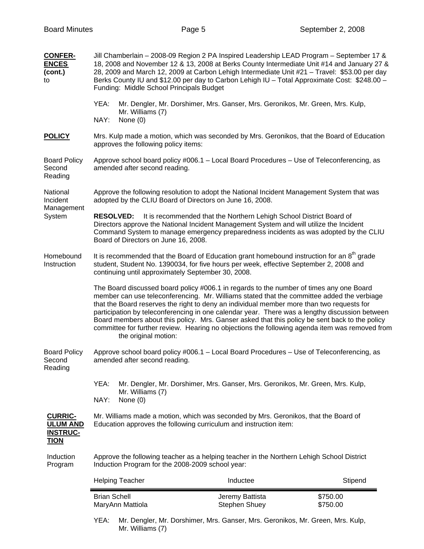| <b>CONFER-</b><br><b>ENCES</b><br>(cont.)<br>to                     | Jill Chamberlain - 2008-09 Region 2 PA Inspired Leadership LEAD Program - September 17 &<br>18, 2008 and November 12 & 13, 2008 at Berks County Intermediate Unit #14 and January 27 &<br>28, 2009 and March 12, 2009 at Carbon Lehigh Intermediate Unit #21 - Travel: \$53.00 per day<br>Berks County IU and \$12.00 per day to Carbon Lehigh IU - Total Approximate Cost: \$248.00 -<br>Funding: Middle School Principals Budget |                                                                                                                                                                                                                                                                                                                                                                                                                                                                                                                                                                                          |                      |
|---------------------------------------------------------------------|------------------------------------------------------------------------------------------------------------------------------------------------------------------------------------------------------------------------------------------------------------------------------------------------------------------------------------------------------------------------------------------------------------------------------------|------------------------------------------------------------------------------------------------------------------------------------------------------------------------------------------------------------------------------------------------------------------------------------------------------------------------------------------------------------------------------------------------------------------------------------------------------------------------------------------------------------------------------------------------------------------------------------------|----------------------|
|                                                                     | YEA:<br>Mr. Williams (7)<br>NAY:<br>None (0)                                                                                                                                                                                                                                                                                                                                                                                       | Mr. Dengler, Mr. Dorshimer, Mrs. Ganser, Mrs. Geronikos, Mr. Green, Mrs. Kulp,                                                                                                                                                                                                                                                                                                                                                                                                                                                                                                           |                      |
| <b>POLICY</b>                                                       | approves the following policy items:                                                                                                                                                                                                                                                                                                                                                                                               | Mrs. Kulp made a motion, which was seconded by Mrs. Geronikos, that the Board of Education                                                                                                                                                                                                                                                                                                                                                                                                                                                                                               |                      |
| <b>Board Policy</b><br>Second<br>Reading                            | Approve school board policy #006.1 - Local Board Procedures - Use of Teleconferencing, as<br>amended after second reading.                                                                                                                                                                                                                                                                                                         |                                                                                                                                                                                                                                                                                                                                                                                                                                                                                                                                                                                          |                      |
| National<br>Incident<br>Management<br>System                        | Approve the following resolution to adopt the National Incident Management System that was<br>adopted by the CLIU Board of Directors on June 16, 2008.                                                                                                                                                                                                                                                                             |                                                                                                                                                                                                                                                                                                                                                                                                                                                                                                                                                                                          |                      |
|                                                                     | It is recommended that the Northern Lehigh School District Board of<br><b>RESOLVED:</b><br>Directors approve the National Incident Management System and will utilize the Incident<br>Command System to manage emergency preparedness incidents as was adopted by the CLIU<br>Board of Directors on June 16, 2008.                                                                                                                 |                                                                                                                                                                                                                                                                                                                                                                                                                                                                                                                                                                                          |                      |
| Homebound<br>Instruction                                            | It is recommended that the Board of Education grant homebound instruction for an $8th$ grade<br>student, Student No. 1390034, for five hours per week, effective September 2, 2008 and<br>continuing until approximately September 30, 2008.                                                                                                                                                                                       |                                                                                                                                                                                                                                                                                                                                                                                                                                                                                                                                                                                          |                      |
|                                                                     | the original motion:                                                                                                                                                                                                                                                                                                                                                                                                               | The Board discussed board policy #006.1 in regards to the number of times any one Board<br>member can use teleconferencing. Mr. Williams stated that the committee added the verbiage<br>that the Board reserves the right to deny an individual member more than two requests for<br>participation by teleconferencing in one calendar year. There was a lengthy discussion between<br>Board members about this policy. Mrs. Ganser asked that this policy be sent back to the policy<br>committee for further review. Hearing no objections the following agenda item was removed from |                      |
| <b>Board Policy</b><br>Second<br>Reading                            | amended after second reading.                                                                                                                                                                                                                                                                                                                                                                                                      | Approve school board policy #006.1 - Local Board Procedures - Use of Teleconferencing, as                                                                                                                                                                                                                                                                                                                                                                                                                                                                                                |                      |
|                                                                     | YEA:<br>Mr. Williams (7)<br>NAY:<br>None $(0)$                                                                                                                                                                                                                                                                                                                                                                                     | Mr. Dengler, Mr. Dorshimer, Mrs. Ganser, Mrs. Geronikos, Mr. Green, Mrs. Kulp,                                                                                                                                                                                                                                                                                                                                                                                                                                                                                                           |                      |
| <b>CURRIC-</b><br><b>ULUM AND</b><br><b>INSTRUC-</b><br><b>TION</b> |                                                                                                                                                                                                                                                                                                                                                                                                                                    | Mr. Williams made a motion, which was seconded by Mrs. Geronikos, that the Board of<br>Education approves the following curriculum and instruction item:                                                                                                                                                                                                                                                                                                                                                                                                                                 |                      |
| Induction<br>Program                                                | Approve the following teacher as a helping teacher in the Northern Lehigh School District<br>Induction Program for the 2008-2009 school year:                                                                                                                                                                                                                                                                                      |                                                                                                                                                                                                                                                                                                                                                                                                                                                                                                                                                                                          |                      |
|                                                                     | <b>Helping Teacher</b>                                                                                                                                                                                                                                                                                                                                                                                                             | Inductee                                                                                                                                                                                                                                                                                                                                                                                                                                                                                                                                                                                 | Stipend              |
|                                                                     | <b>Brian Schell</b><br>MaryAnn Mattiola                                                                                                                                                                                                                                                                                                                                                                                            | Jeremy Battista<br>Stephen Shuey                                                                                                                                                                                                                                                                                                                                                                                                                                                                                                                                                         | \$750.00<br>\$750.00 |
|                                                                     | YEA:<br>Mr. Williams (7)                                                                                                                                                                                                                                                                                                                                                                                                           | Mr. Dengler, Mr. Dorshimer, Mrs. Ganser, Mrs. Geronikos, Mr. Green, Mrs. Kulp,                                                                                                                                                                                                                                                                                                                                                                                                                                                                                                           |                      |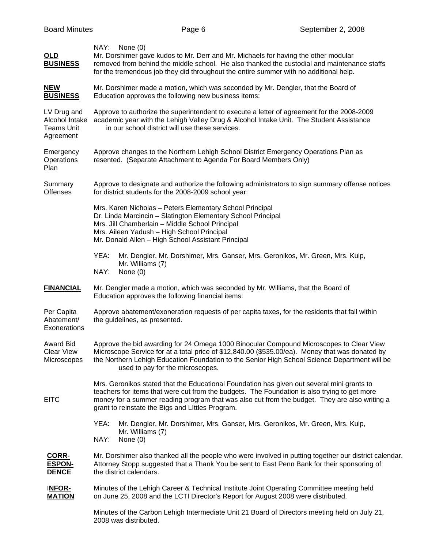| <b>OLD</b><br><b>BUSINESS</b>                                   | NAY:<br>None (0)<br>Mr. Dorshimer gave kudos to Mr. Derr and Mr. Michaels for having the other modular<br>removed from behind the middle school. He also thanked the custodial and maintenance staffs<br>for the tremendous job they did throughout the entire summer with no additional help.                                                  |
|-----------------------------------------------------------------|-------------------------------------------------------------------------------------------------------------------------------------------------------------------------------------------------------------------------------------------------------------------------------------------------------------------------------------------------|
| <b>NEW</b><br><b>BUSINESS</b>                                   | Mr. Dorshimer made a motion, which was seconded by Mr. Dengler, that the Board of<br>Education approves the following new business items:                                                                                                                                                                                                       |
| LV Drug and<br>Alcohol Intake<br><b>Teams Unit</b><br>Agreement | Approve to authorize the superintendent to execute a letter of agreement for the 2008-2009<br>academic year with the Lehigh Valley Drug & Alcohol Intake Unit. The Student Assistance<br>in our school district will use these services.                                                                                                        |
| Emergency<br>Operations<br>Plan                                 | Approve changes to the Northern Lehigh School District Emergency Operations Plan as<br>resented. (Separate Attachment to Agenda For Board Members Only)                                                                                                                                                                                         |
| Summary<br><b>Offenses</b>                                      | Approve to designate and authorize the following administrators to sign summary offense notices<br>for district students for the 2008-2009 school year:                                                                                                                                                                                         |
|                                                                 | Mrs. Karen Nicholas - Peters Elementary School Principal<br>Dr. Linda Marcincin - Slatington Elementary School Principal<br>Mrs. Jill Chamberlain - Middle School Principal<br>Mrs. Aileen Yadush - High School Principal<br>Mr. Donald Allen - High School Assistant Principal                                                                 |
|                                                                 | YEA:<br>Mr. Dengler, Mr. Dorshimer, Mrs. Ganser, Mrs. Geronikos, Mr. Green, Mrs. Kulp,<br>Mr. Williams (7)<br>NAY:<br>None $(0)$                                                                                                                                                                                                                |
| <b>FINANCIAL</b>                                                | Mr. Dengler made a motion, which was seconded by Mr. Williams, that the Board of<br>Education approves the following financial items:                                                                                                                                                                                                           |
| Per Capita<br>Abatement/<br>Exonerations                        | Approve abatement/exoneration requests of per capita taxes, for the residents that fall within<br>the guidelines, as presented.                                                                                                                                                                                                                 |
| <b>Award Bid</b><br><b>Clear View</b><br>Microscopes            | Approve the bid awarding for 24 Omega 1000 Binocular Compound Microscopes to Clear View<br>Microscope Service for at a total price of \$12,840.00 (\$535.00/ea). Money that was donated by<br>the Northern Lehigh Education Foundation to the Senior High School Science Department will be<br>used to pay for the microscopes.                 |
| <b>EITC</b>                                                     | Mrs. Geronikos stated that the Educational Foundation has given out several mini grants to<br>teachers for items that were cut from the budgets. The Foundation is also trying to get more<br>money for a summer reading program that was also cut from the budget. They are also writing a<br>grant to reinstate the Bigs and Littles Program. |
|                                                                 | YEA:<br>Mr. Dengler, Mr. Dorshimer, Mrs. Ganser, Mrs. Geronikos, Mr. Green, Mrs. Kulp,<br>Mr. Williams (7)<br>NAY:<br>None (0)                                                                                                                                                                                                                  |
| CORR-<br><b>ESPON-</b><br><b>DENCE</b>                          | Mr. Dorshimer also thanked all the people who were involved in putting together our district calendar.<br>Attorney Stopp suggested that a Thank You be sent to East Penn Bank for their sponsoring of<br>the district calendars.                                                                                                                |
| INFOR-<br><b>MATION</b>                                         | Minutes of the Lehigh Career & Technical Institute Joint Operating Committee meeting held<br>on June 25, 2008 and the LCTI Director's Report for August 2008 were distributed.                                                                                                                                                                  |
|                                                                 | Minutes of the Carbon Lehigh Intermediate Unit 21 Board of Directors meeting held on July 21,<br>2008 was distributed.                                                                                                                                                                                                                          |